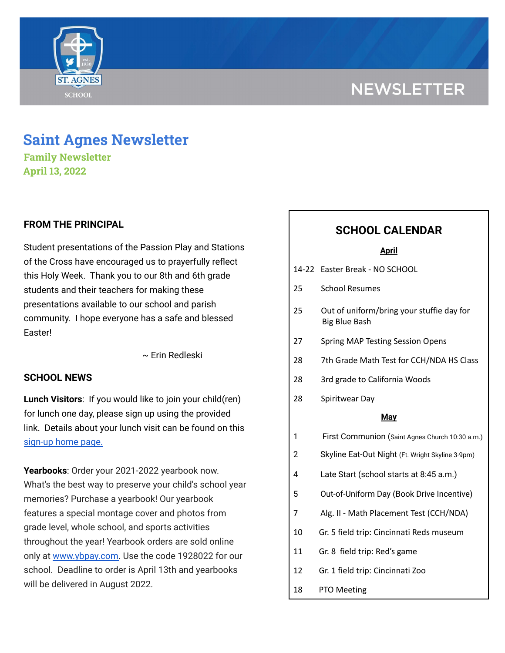# **NEWSLETTER**



# **Saint Agnes Newsletter**

**Family Newsletter April 13, 2022**

# **FROM THE PRINCIPAL**

Student presentations of the Passion Play and Stations of the Cross have encouraged us to prayerfully reflect this Holy Week. Thank you to our 8th and 6th grade students and their teachers for making these presentations available to our school and parish community. I hope everyone has a safe and blessed Easter!

~ Erin Redleski

# **SCHOOL NEWS**

**Lunch Visitors**: If you would like to join your child(ren) for lunch one day, please sign up using the provided link. Details about your lunch visit can be found on this [sign-up](https://signup.com/Group/7270313220456800119/) home page.

**Yearbooks**: Order your 2021-2022 yearbook now. What's the best way to preserve your child's school year memories? Purchase a yearbook! Our yearbook features a special montage cover and photos from grade level, whole school, and sports activities throughout the year! Yearbook orders are sold online only at [www.ybpay.com.](http://www.ybpay.lifetouch.com/) Use the code 1928022 for our school. Deadline to order is April 13th and yearbooks will be delivered in August 2022.

# **SCHOOL CALENDAR**

#### **April**

|  |  | 14-22 Easter Break - NO SCHOOL |
|--|--|--------------------------------|
|  |  |                                |

- 25 School Resumes
- 25 Out of uniform/bring your stuffie day for Big Blue Bash
- 27 Spring MAP Testing Session Opens
- 28 7th Grade Math Test for CCH/NDA HS Class
- 28 3rd grade to California Woods
- 28 Spiritwear Day

#### **May**

- 1 First Communion (Saint Agnes Church 10:30 a.m.)
- 2 Skyline Eat-Out Night (Ft. Wright Skyline 3-9pm)
- 4 Late Start (school starts at 8:45 a.m.)
- 5 Out-of-Uniform Day (Book Drive Incentive)
- 7 Alg. II Math Placement Test (CCH/NDA)
- 10 Gr. 5 field trip: Cincinnati Reds museum
- 11 Gr. 8 field trip: Red's game
- 12 Gr. 1 field trip: Cincinnati Zoo
- 18 PTO Meeting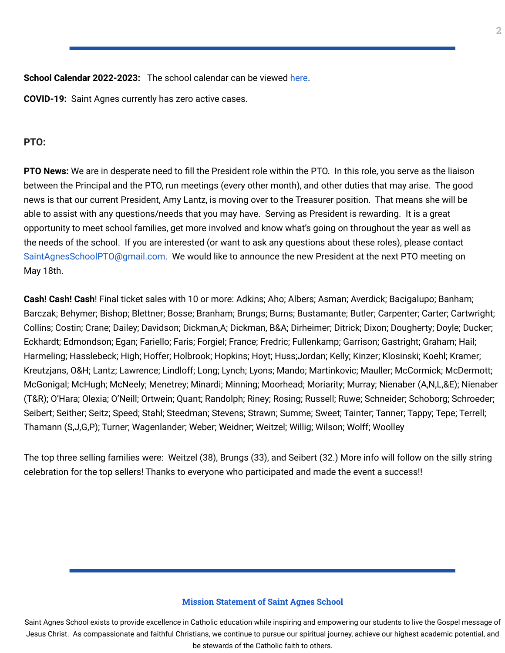**School Calendar 2022-2023:** The school calendar can be viewed [here](https://docs.google.com/document/d/19Jca5qDUn0PL7orYjTM3_tiJTiT1MqUm7a4nh3h5hlk/edit?usp=sharing).

**COVID-19:** Saint Agnes currently has zero active cases.

# **PTO:**

**PTO News:** We are in desperate need to fill the President role within the PTO. In this role, you serve as the liaison between the Principal and the PTO, run meetings (every other month), and other duties that may arise. The good news is that our current President, Amy Lantz, is moving over to the Treasurer position. That means she will be able to assist with any questions/needs that you may have. Serving as President is rewarding. It is a great opportunity to meet school families, get more involved and know what's going on throughout the year as well as the needs of the school. If you are interested (or want to ask any questions about these roles), please contact SaintAgnesSchoolPTO@gmail.com. We would like to announce the new President at the next PTO meeting on May 18th.

**Cash! Cash! Cash**! Final ticket sales with 10 or more: Adkins; Aho; Albers; Asman; Averdick; Bacigalupo; Banham; Barczak; Behymer; Bishop; Blettner; Bosse; Branham; Brungs; Burns; Bustamante; Butler; Carpenter; Carter; Cartwright; Collins; Costin; Crane; Dailey; Davidson; Dickman,A; Dickman, B&A; Dirheimer; Ditrick; Dixon; Dougherty; Doyle; Ducker; Eckhardt; Edmondson; Egan; Fariello; Faris; Forgiel; France; Fredric; Fullenkamp; Garrison; Gastright; Graham; Hail; Harmeling; Hasslebeck; High; Hoffer; Holbrook; Hopkins; Hoyt; Huss;Jordan; Kelly; Kinzer; Klosinski; Koehl; Kramer; Kreutzjans, O&H; Lantz; Lawrence; Lindloff; Long; Lynch; Lyons; Mando; Martinkovic; Mauller; McCormick; McDermott; McGonigal; McHugh; McNeely; Menetrey; Minardi; Minning; Moorhead; Moriarity; Murray; Nienaber (A,N,L,&E); Nienaber (T&R); O'Hara; Olexia; O'Neill; Ortwein; Quant; Randolph; Riney; Rosing; Russell; Ruwe; Schneider; Schoborg; Schroeder; Seibert; Seither; Seitz; Speed; Stahl; Steedman; Stevens; Strawn; Summe; Sweet; Tainter; Tanner; Tappy; Tepe; Terrell; Thamann (S,J,G,P); Turner; Wagenlander; Weber; Weidner; Weitzel; Willig; Wilson; Wolff; Woolley

The top three selling families were: Weitzel (38), Brungs (33), and Seibert (32.) More info will follow on the silly string celebration for the top sellers! Thanks to everyone who participated and made the event a success!!

#### **Mission Statement of Saint Agnes School**

Saint Agnes School exists to provide excellence in Catholic education while inspiring and empowering our students to live the Gospel message of Jesus Christ. As compassionate and faithful Christians, we continue to pursue our spiritual journey, achieve our highest academic potential, and be stewards of the Catholic faith to others.